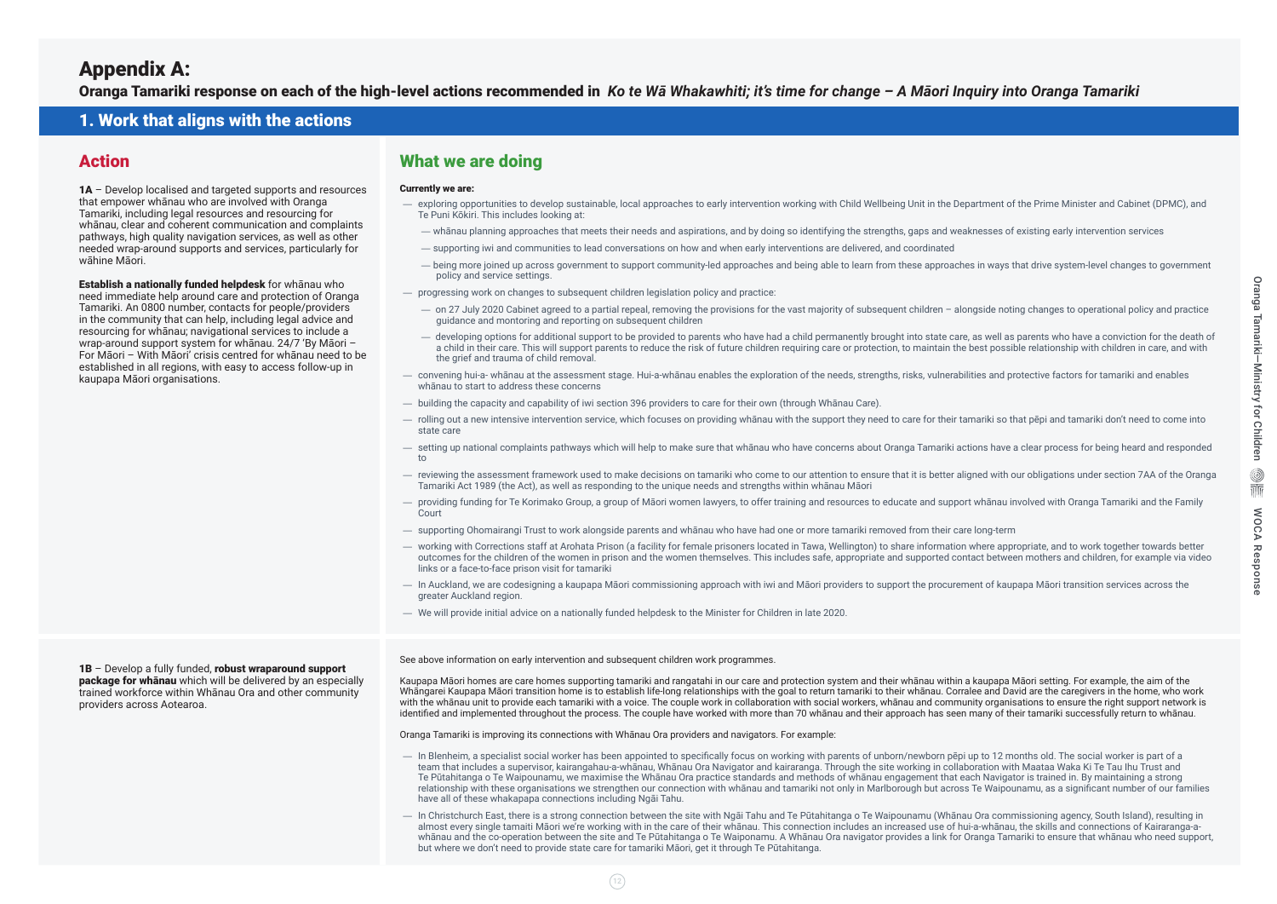# Appendix A:

Oranga Tamariki response on each of the high-level actions recommended in *Ko te Wā Whakawhiti; it's time for change – A Māori Inquiry into Oranga Tamariki*

### 1. Work that aligns with the actions

### Action

1A – Develop localised and targeted supports and resources that empower whānau who are involved with Oranga Tamariki, including legal resources and resourcing for whānau, clear and coherent communication and complaints pathways, high quality navigation services, as well as other needed wrap-around supports and services, particularly for wāhine Māori.

1B - Develop a fully funded, robust wraparound support **package for whānau** which will be delivered by an especially trained workforce within Whānau Ora and other community providers across Aotearoa.

Establish a nationally funded helpdesk for whānau who need immediate help around care and protection of Oranga Tamariki. An 0800 number, contacts for people/providers in the community that can help, including legal advice and resourcing for whānau; navigational services to include a wrap-around support system for whānau. 24/7 'By Māori – For Māori – With Māori' crisis centred for whānau need to be established in all regions, with easy to access follow-up in kaupapa Māori organisations.

### What we are doing

#### Currently we are:

- exploring opportunities to develop sustainable, local approaches to early intervention working with Child Wellbeing Unit in the Department of the Prime Minister and Cabinet (DPMC), and Te Puni Kōkiri. This includes looking at:
- whānau planning approaches that meets their needs and aspirations, and by doing so identifying the strengths, gaps and weaknesses of existing early intervention services
- supporting iwi and communities to lead conversations on how and when early interventions are delivered, and coordinated
- being more joined up across government to support community-led approaches and being able to learn from these approaches in ways that drive system-level changes to government policy and service settings.
- progressing work on changes to subsequent children legislation policy and practice:
	- on 27 July 2020 Cabinet agreed to a partial repeal, removing the provisions for the vast majority of subsequent children alongside noting changes to operational policy and practice guidance and montoring and reporting on subsequent children
	- developing options for additional support to be provided to parents who have had a child permanently brought into state care, as well as parents who have a conviction for the death of a child in their care. This will support parents to reduce the risk of future children requiring care or protection, to maintain the best possible relationship with children in care, and with the grief and trauma of child removal.
- convening hui-a- whānau at the assessment stage. Hui-a-whānau enables the exploration of the needs, strengths, risks, vulnerabilities and protective factors for tamariki and enables whānau to start to address these concerns
- building the capacity and capability of iwi section 396 providers to care for their own (through Whānau Care).
- rolling out a new intensive intervention service, which focuses on providing whānau with the support they need to care for their tamariki so that pēpi and tamariki don't need to come into state care
- setting up national complaints pathways which will help to make sure that whānau who have concerns about Oranga Tamariki actions have a clear process for being heard and responded to
- reviewing the assessment framework used to make decisions on tamariki who come to our attention to ensure that it is better aligned with our obligations under section 7AA of the Oranga Tamariki Act 1989 (the Act), as well as responding to the unique needs and strengths within whānau Māori
- providing funding for Te Korimako Group, a group of Māori women lawyers, to offer training and resources to educate and support whānau involved with Oranga Tamariki and the Family **Court**
- supporting Ohomairangi Trust to work alongside parents and whānau who have had one or more tamariki removed from their care long-term
- working with Corrections staff at Arohata Prison (a facility for female prisoners located in Tawa, Wellington) to share information where appropriate, and to work together towards better outcomes for the children of the women in prison and the women themselves. This includes safe, appropriate and supported contact between mothers and children, for example via video links or a face-to-face prison visit for tamariki
- In Auckland, we are codesigning a kaupapa Māori commissioning approach with iwi and Māori providers to support the procurement of kaupapa Māori transition services across the greater Auckland region.
- We will provide initial advice on a nationally funded helpdesk to the Minister for Children in late 2020.

See above information on early intervention and subsequent children work programmes.

Kaupapa Māori homes are care homes supporting tamariki and rangatahi in our care and protection system and their whānau within a kaupapa Māori setting. For example, the aim of the Whāngarei Kaupapa Māori transition home is to establish life-long relationships with the goal to return tamariki to their whānau. Corralee and David are the caregivers in the home, who work with the whānau unit to provide each tamariki with a voice. The couple work in collaboration with social workers, whānau and community organisations to ensure the right support network is identified and implemented throughout the process. The couple have worked with more than 70 whānau and their approach has seen many of their tamariki successfully return to whānau.

Oranga Tamariki is improving its connections with Whānau Ora providers and navigators. For example:

- In Blenheim, a specialist social worker has been appointed to specifically focus on working with parents of unborn/newborn pēpi up to 12 months old. The social worker is part of a team that includes a supervisor, kairangahau-a-whānau, Whānau Ora Navigator and kairaranga. Through the site working in collaboration with Maataa Waka Ki Te Tau Ihu Trust and Te Pūtahitanga o Te Waipounamu, we maximise the Whānau Ora practice standards and methods of whānau engagement that each Navigator is trained in. By maintaining a strong relationship with these organisations we strengthen our connection with whānau and tamariki not only in Marlborough but across Te Waipounamu, as a significant number of our families have all of these whakapapa connections including Ngāi Tahu.
- In Christchurch East, there is a strong connection between the site with Ngāi Tahu and Te Pūtahitanga o Te Waipounamu (Whānau Ora commissioning agency, South Island), resulting in almost every single tamaiti Māori we're working with in the care of their whānau. This connection includes an increased use of hui-a-whānau, the skills and connections of Kairaranga-awhānau and the co-operation between the site and Te Pūtahitanga o Te Waiponamu. A Whānau Ora navigator provides a link for Oranga Tamariki to ensure that whānau who need support, but where we don't need to provide state care for tamariki Māori, get it through Te Pūtahitanga.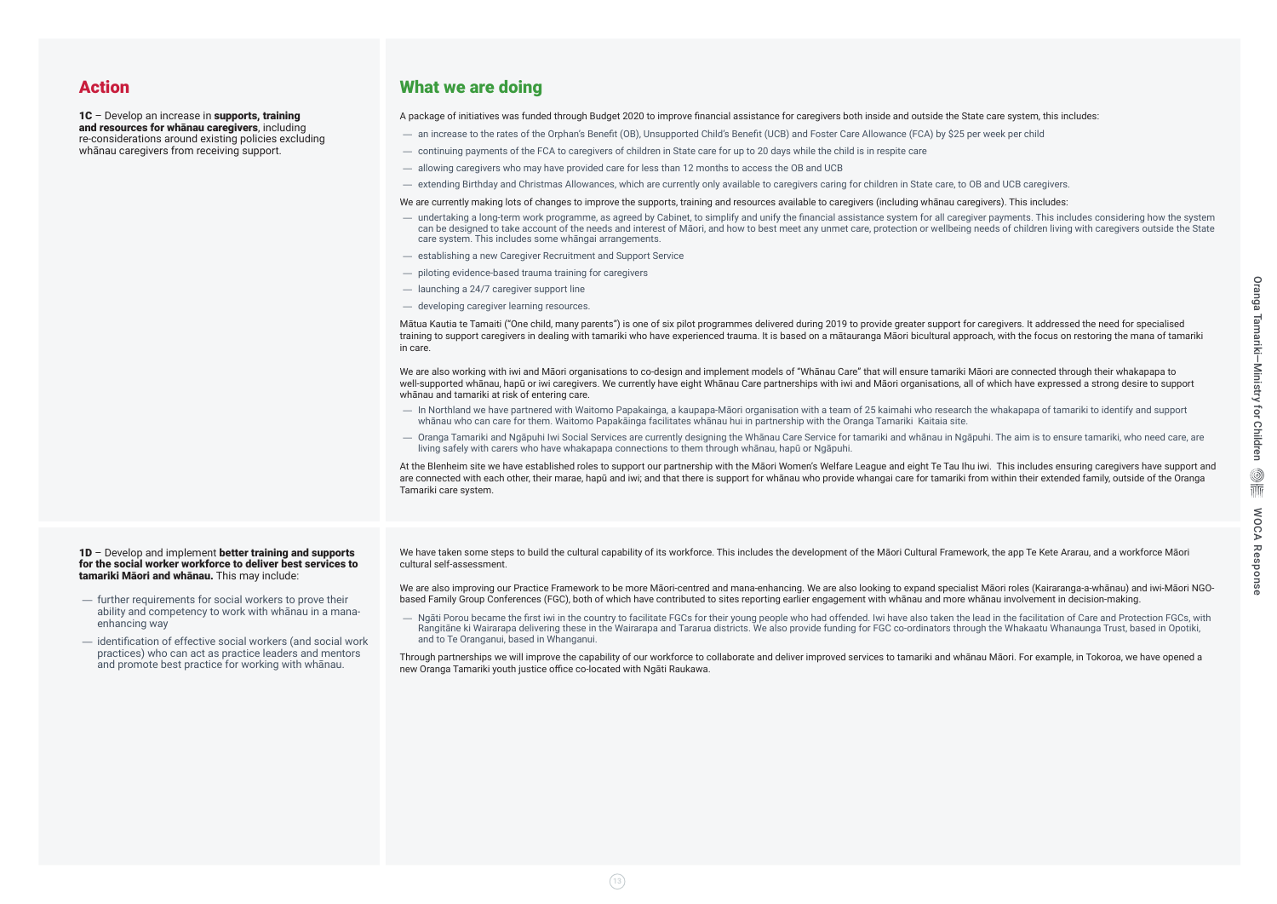### Action

1C – Develop an increase in supports, training and resources for whānau caregivers, including re-considerations around existing policies excluding whānau caregivers from receiving support.

- further requirements for social workers to prove their ability and competency to work with whānau in a manaenhancing way
- identification of effective social workers (and social work practices) who can act as practice leaders and mentors and promote best practice for working with whānau.

## What we are doing

A package of initiatives was funded through Budget 2020 to improve financial assistance for caregivers both inside and outside the State care system, this includes:

- an increase to the rates of the Orphan's Benefit (OB), Unsupported Child's Benefit (UCB) and Foster Care Allowance (FCA) by \$25 per week per child
- continuing payments of the FCA to caregivers of children in State care for up to 20 days while the child is in respite care
- allowing caregivers who may have provided care for less than 12 months to access the OB and UCB
- extending Birthday and Christmas Allowances, which are currently only available to caregivers caring for children in State care, to OB and UCB caregivers.

We are currently making lots of changes to improve the supports, training and resources available to caregivers (including whānau caregivers). This includes:

We are also working with iwi and Māori organisations to co-design and implement models of "Whānau Care" that will ensure tamariki Māori are connected through their whakapapa to well-supported whānau, hapū or iwi caregivers. We currently have eight Whānau Care partnerships with iwi and Māori organisations, all of which have expressed a strong desire to support whānau and tamariki at risk of entering care.

- undertaking a long-term work programme, as agreed by Cabinet, to simplify and unify the financial assistance system for all caregiver payments. This includes considering how the system can be designed to take account of the needs and interest of Māori, and how to best meet any unmet care, protection or wellbeing needs of children living with caregivers outside the State care system. This includes some whāngai arrangements.
- establishing a new Caregiver Recruitment and Support Service
- piloting evidence-based trauma training for caregivers
- launching a 24/7 caregiver support line
- developing caregiver learning resources.

We have taken some steps to build the cultural capability of its workforce. This includes the development of the Māori Cultural Framework, the app Te Kete Ararau, and a workforce Māori cultural self-assessment.

We are also improving our Practice Framework to be more Māori-centred and mana-enhancing. We are also looking to expand specialist Māori roles (Kairaranga-a-whānau) and iwi-Māori NGObased Family Group Conferences (FGC), both of which have contributed to sites reporting earlier engagement with whānau and more whānau involvement in decision-making.

Mātua Kautia te Tamaiti ("One child, many parents") is one of six pilot programmes delivered during 2019 to provide greater support for caregivers. It addressed the need for specialised training to support caregivers in dealing with tamariki who have experienced trauma. It is based on a mātauranga Māori bicultural approach, with the focus on restoring the mana of tamariki in care.

- In Northland we have partnered with Waitomo Papakainga, a kaupapa-Māori organisation with a team of 25 kaimahi who research the whakapapa of tamariki to identify and support whānau who can care for them. Waitomo Papakāinga facilitates whānau hui in partnership with the Oranga Tamariki Kaitaia site.
- Oranga Tamariki and Ngāpuhi Iwi Social Services are currently designing the Whānau Care Service for tamariki and whānau in Ngāpuhi. The aim is to ensure tamariki, who need care, are living safely with carers who have whakapapa connections to them through whānau, hapū or Ngāpuhi.

At the Blenheim site we have established roles to support our partnership with the Māori Women's Welfare League and eight Te Tau Ihu iwi. This includes ensuring caregivers have support and are connected with each other, their marae, hapū and iwi; and that there is support for whanau who provide whangai care for tamariki from within their extended family, outside of the Oranga Tamariki care system.

#### 1D – Develop and implement better training and supports for the social worker workforce to deliver best services to tamariki Māori and whānau. This may include:

— Ngāti Porou became the first iwi in the country to facilitate FGCs for their young people who had offended. Iwi have also taken the lead in the facilitation of Care and Protection FGCs, with Rangitāne ki Wairarapa delivering these in the Wairarapa and Tararua districts. We also provide funding for FGC co-ordinators through the Whakaatu Whanaunga Trust, based in Opotiki, and to Te Oranganui, based in Whanganui.

Through partnerships we will improve the capability of our workforce to collaborate and deliver improved services to tamariki and whānau Māori. For example, in Tokoroa, we have opened a new Oranga Tamariki youth justice office co-located with Ngāti Raukawa.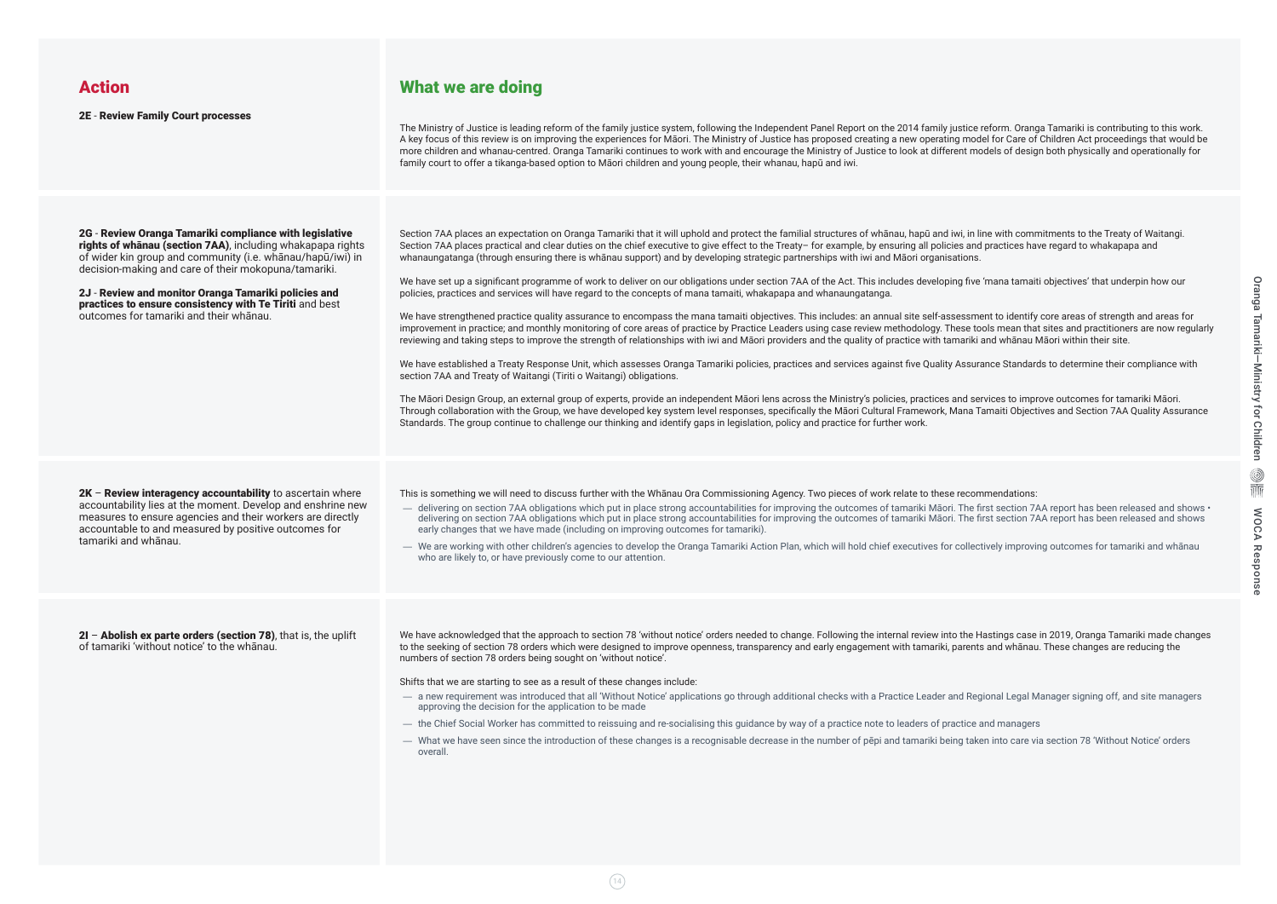### Action

2E - Review Family Court processes

2G - Review Oranga Tamariki compliance with legislative rights of whanau (section 7AA), including whakapapa rights of wider kin group and community (i.e. whānau/hapū/iwi) in decision-making and care of their mokopuna/tamariki.

 $2K$  – Review interagency accountability to ascertain where accountability lies at the moment. Develop and enshrine new measures to ensure agencies and their workers are directly accountable to and measured by positive outcomes for tamariki and whānau.

2J - Review and monitor Oranga Tamariki policies and practices to ensure consistency with Te Tiriti and best outcomes for tamariki and their whānau.

2I – Abolish ex parte orders (section 78), that is, the uplift of tamariki 'without notice' to the whānau.

The Ministry of Justice is leading reform of the family justice system, following the Independent Panel Report on the 2014 family justice reform. Oranga Tamariki is contributing to this work. A key focus of this review is on improving the experiences for Māori. The Ministry of Justice has proposed creating a new operating model for Care of Children Act proceedings that would be more children and whanau-centred. Oranga Tamariki continues to work with and encourage the Ministry of Justice to look at different models of design both physically and operationally for family court to offer a tikanga-based option to Māori children and young people, their whanau, hapū and iwi.

### What we are doing

Section 7AA places an expectation on Oranga Tamariki that it will uphold and protect the familial structures of whanau, hapū and iwi, in line with commitments to the Treaty of Waitangi. Section 7AA places practical and clear duties on the chief executive to give effect to the Treaty- for example, by ensuring all policies and practices have regard to whakapapa and whanaungatanga (through ensuring there is whānau support) and by developing strategic partnerships with iwi and Māori organisations.

We have set up a significant programme of work to deliver on our obligations under section 7AA of the Act. This includes developing five 'mana tamaiti objectives' that underpin how our policies, practices and services will have regard to the concepts of mana tamaiti, whakapapa and whanaungatanga.

We have strengthened practice quality assurance to encompass the mana tamaiti objectives. This includes: an annual site self-assessment to identify core areas of strength and areas for improvement in practice; and monthly monitoring of core areas of practice by Practice Leaders using case review methodology. These tools mean that sites and practitioners are now regularly reviewing and taking steps to improve the strength of relationships with iwi and Māori providers and the quality of practice with tamariki and whānau Māori within their site.

We have established a Treaty Response Unit, which assesses Oranga Tamariki policies, practices and services against five Quality Assurance Standards to determine their compliance with section 7AA and Treaty of Waitangi (Tiriti o Waitangi) obligations.

- delivering on section 7AA obligations which put in place strong accountabilities for improving the outcomes of tamariki Maori. The first section 7AA report has been released and shows delivering on section 7AA obligations which put in place strong accountabilities for improving the outcomes of tamariki Māori. The first section 7AA report has been released and shows early changes that we have made (including on improving outcomes for tamariki).
- We are working with other children's agencies to develop the Oranga Tamariki Action Plan, which will hold chief executives for collectively improving outcomes for tamariki and whānau who are likely to, or have previously come to our attention.

We have acknowledged that the approach to section 78 'without notice' orders needed to change. Following the internal review into the Hastings case in 2019, Oranga Tamariki made changes to the seeking of section 78 orders which were designed to improve openness, transparency and early engagement with tamariki, parents and whānau. These changes are reducing the numbers of section 78 orders being sought on 'without notice'.

The Māori Design Group, an external group of experts, provide an independent Māori lens across the Ministry's policies, practices and services to improve outcomes for tamariki Māori. Through collaboration with the Group, we have developed key system level responses, specifically the Māori Cultural Framework, Mana Tamaiti Objectives and Section 7AA Quality Assurance Standards. The group continue to challenge our thinking and identify gaps in legislation, policy and practice for further work.

This is something we will need to discuss further with the Whānau Ora Commissioning Agency. Two pieces of work relate to these recommendations:

Shifts that we are starting to see as a result of these changes include:

- a new requirement was introduced that all 'Without Notice' applications go through additional checks with a Practice Leader and Regional Legal Manager signing off, and site managers approving the decision for the application to be made
- the Chief Social Worker has committed to reissuing and re-socialising this guidance by way of a practice note to leaders of practice and managers
- What we have seen since the introduction of these changes is a recognisable decrease in the number of pēpi and tamariki being taken into care via section 78 'Without Notice' orders overall.